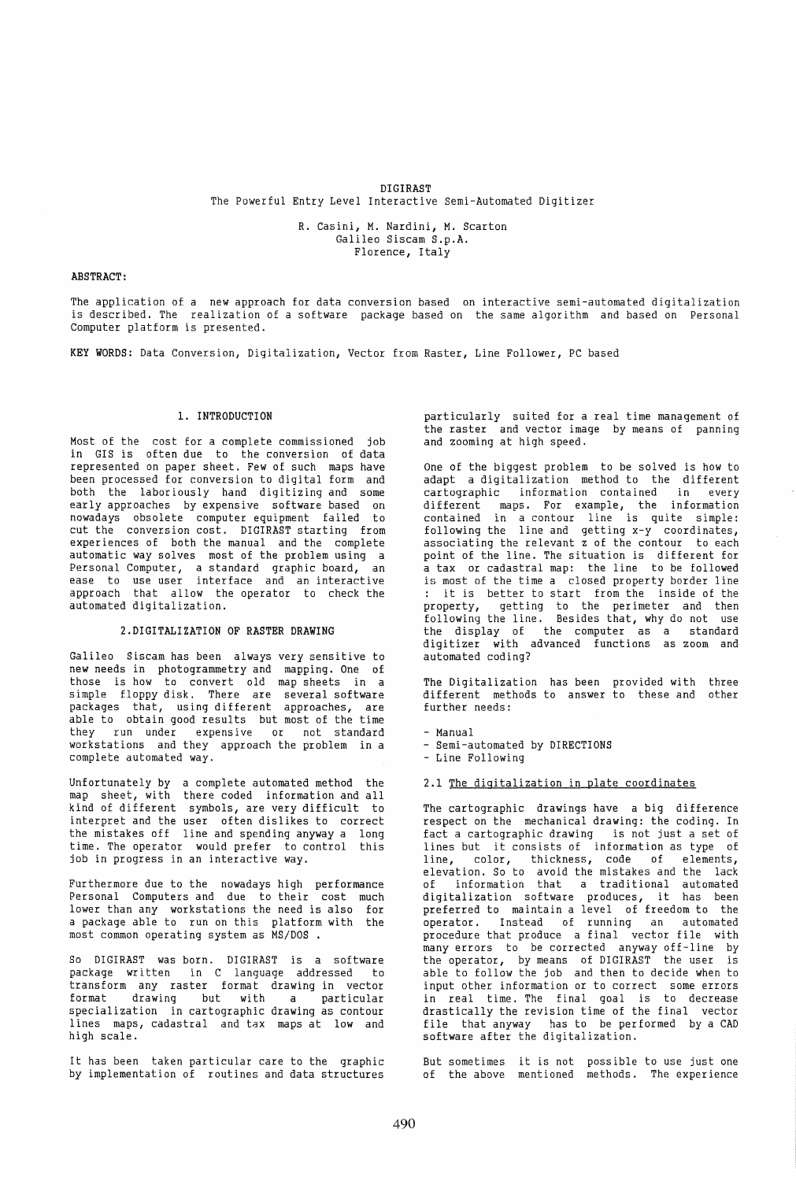# DIGIRAST The Powerful Entry Level Interactive Semi-Automated Digitizer

R. Casini, M. Nardini, M. Scarton Galileo Siscam S.p.A. Florence, Italy

#### ABSTRACT:

The application of a new approach for data conversion based on interactive semi-automated digitalization is described. The realization of a software package based on the same algorithm and based on Personal Computer platform is presented.

KEY WORDS: Data Conversion, Digitalization, Vector from Raster, Line Follower, PC based

#### 1. INTRODUCTION

Most of the cost for a complete commissioned job in GIS is often due to the conversion of data represented on paper sheet. Few of such maps have been processed for conversion to digital form and both the laboriously hand digitizing and some early approaches by expensive software based on nowadays obsolete computer equipment failed to cut the conversion cost. DIGIRAST starting from experiences of both the manual and the complete automatic way solves most of the problem using a Personal Computer, a standard graphic board, an ease to use user interface and an interactive approach that allow the operator to check the automated digitalization.

#### 2.DIGITALIZATION OF RASTER DRAWING

Galileo Siscam has been always very sensitive to new needs in photogrammetry and mapping. One of those is how to convert old map sheets in a simple floppy disk. There are several software packages that, using different approaches, are able to obtain good results but most of the time they run under expensive or not standard workstations and they approach the problem in a complete automated way.

Unfortunately by a complete automated method the map sheet, with there coded information and all kind of different symbols, are very difficult to interpret and the user often dislikes to correct the mistakes off line and spending anyway a long time. The operator would prefer to control this job in progress in an interactive way.

Furthermore due to the nowadays high performance Personal Computers and due to their cost much lower than any workstations the need is also for a package able to run on this platform with the most common operating system as MS/DOS

So DIGIRAST was born. DIGIRAST is a software package written in C language addressed to transform any raster format drawing in vector format drawing but with a particular specialization in cartographic drawing as contour lines maps, cadastral and tax maps at low and high scale.

It has been taken particular care to the graphic by implementation of routines and data structures

particularly suited for a real time management of the raster and vector image by means of panning and zooming at high speed.

One of the biggest problem to be solved is how to adapt a digitalization method to the different cartographic information contained in every different maps. For example, the information contained in a contour line is quite simple: following the line and getting x-y coordinates, associating the relevant z of the contour to each point of the line. The situation is different for a tax or cadastral map: the line to be followed is most of the time a closed property border line : it is better to start from the inside of the property, getting to the perimeter and then following the line. Besides that, why do not use the display of the computer as a standard digitizer with advanced functions as zoom and automated coding?

The Digitalization has been provided with three different methods to answer to these and other further needs:

- Manual - Semi-automated by DIRECTIONS

- Line Following

#### 2.1 The digitalization in plate coordinates

The cartographic drawings have a big difference respect on the mechanical drawing: the coding. In fact a cartographic drawing is not just a set of lines but it consists of information as type of<br>line. color, thickness, code of elements, line, color, thickness, code of elements, elevation. So to avoid the mistakes and the lack of information that a traditional automated digitalization software produces, it has been preferred to maintain a level of freedom to the operator. Instead of running an automated procedure that produce a final vector file with many errors to be corrected anyway off-line by the operator, by means of DIGIRAST the user is able to follow the job and then to decide when to input other information or to correct some errors in real time. The final goal is to decrease drastically the revision time of the final vector file that anyway has to be performed by a CAD software after the digitalization.

But sometimes it is not possible to use just one of the above mentioned methods. The experience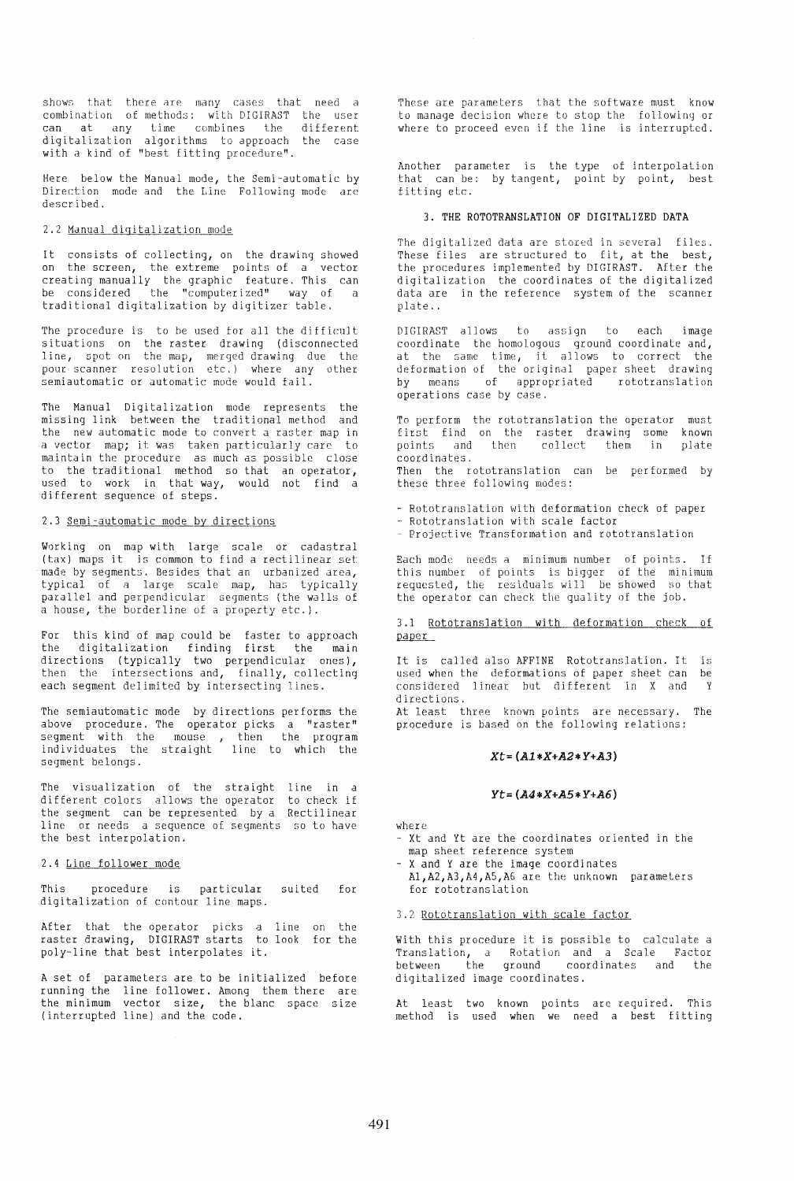shows that there are many cases that need a combination of methods: with DIGIRAST the user can at any time combines the different digitalization algorithms to approach the case with a kind of "best fitting procedure".

Here below the Manual mode, the Semi-automatic by Direction mode and the LIne Following mode are described.

#### 2.2 Manual digitalization mode

It consists of collecting, on the drawing showed on the screen, the extreme points of a vector creating manually the graphic feature. This can be considered the "computerized" way of a traditional digitalization by digitizer table.

The procedure is to be used for all the difficult situations on the raster drawing (disconnected line, spot on the map, merged drawing due the pour scanner resolution etc.) where any other semiautomatic or automatic mode would fail.

The Manual Digitalization mode represents the missing link between the traditional method and the new automatic mode to convert a raster map in a vector map; it was taken particularly care to maintain the procedure as much as possible close to the traditional method so that an operator, used to work in that way, would not find a different sequence of steps.

## 2.3 Semi-automatic mode by directions

Working on map with large scale or cadastral (tax) maps it is common to find a rectilinear set made by segments. Besides that an urbanized area, typical of a large scale map, has typically parallel and perpendicular segments (the walls of a house, the borderline of a property etc.).

For this kind of map could be faster to approach the digitalization finding first the main directions (typically two perpendicular ones), then the intersections and, finally, collecting each segment delimited by intersecting lines.

The semiautomatic mode by directions performs the above procedure. The operator picks a "raster" segment with the mouse , then the program<br>individuates the straight line to which the segment belongs.

The visualization of the straight line in a different colors allows the operator the segment can be represented by a line or needs a sequence of segments so to have the best interpolation. to check if Recti linear

### 2.4 Line follower mode

This procedure is particular suited for digitalization of contour line maps.

After that the operator picks a line on the raster drawing, DIGIRAST starts to look for the poly-line that best interpolates it.

A set of parameters are to be initialized before running the line follower. Among them there are the minimum vector size, the blanc space size (interrupted line) and the code.

These are parameters that the software must know to manage decision where to stop the fol1owinq or where to proceed even if the line is interrupted.

Another parameter is the type of interpolation that can be: by tangent, point by point, best fitting etc.

## 3. THE ROTOTRANSLATION OF DIGITALIZED DATA

The digitalized data are stored in severa] files. These files are structured to fit, at the best, the procedures implemented by DIGIRAST. After the digitalization the coordinates of the digitalized data are in the reference system of the scanner plate ..

DIGIRAST allows to assiqn to each image coordinate the homologous ground coordinate and, at the same time, it allows to correct the deformation of the original paper sheet drawing by means of appropriated rototranslation operations case by case.

To perform the rototranslation the operator must first find points and coordinates. on the raster drawing some the raster drawing some known<br>then collect them in plate Then the rototranslation can be performed by these three following modes:

- Rototranslation with deformation check of paper
- Rototranslation with scale factor
- Projective Transformation and rototranslation

Each mode needs a minimum number of points. If this number of points is bigger of the minimum requested, the residuals will be showed so that the operator can check the quality of the job.

3.1 Rototranslation with deformation check of<br>paper

It is called also AFFINE Rototranslation. It is used when the deformations of paper sheet can be considered linear hut. different in X and Y directions.

At least three known points are necessary. The procedure is based on the following relations:

#### $Xt = (A1*X+A2*Y+A3)$

#### $Yt = (A4*X+A5*Y+A6)$

where

- Xt and yt are the coordinates oriented in the map sheet reference system
- X and Y are the image coordinates Al,A2,A3,A4,A5,A6 are the unknown parameters for rototranslation

#### 3.2 Rototranslation with scale factor

With this procedure it is possible to calculate a Translation, d Rotation and a Scale Factor between the ground coordinates and the digitalized image coordinates.

At least two known points are required. This method is used when we need a best fitting